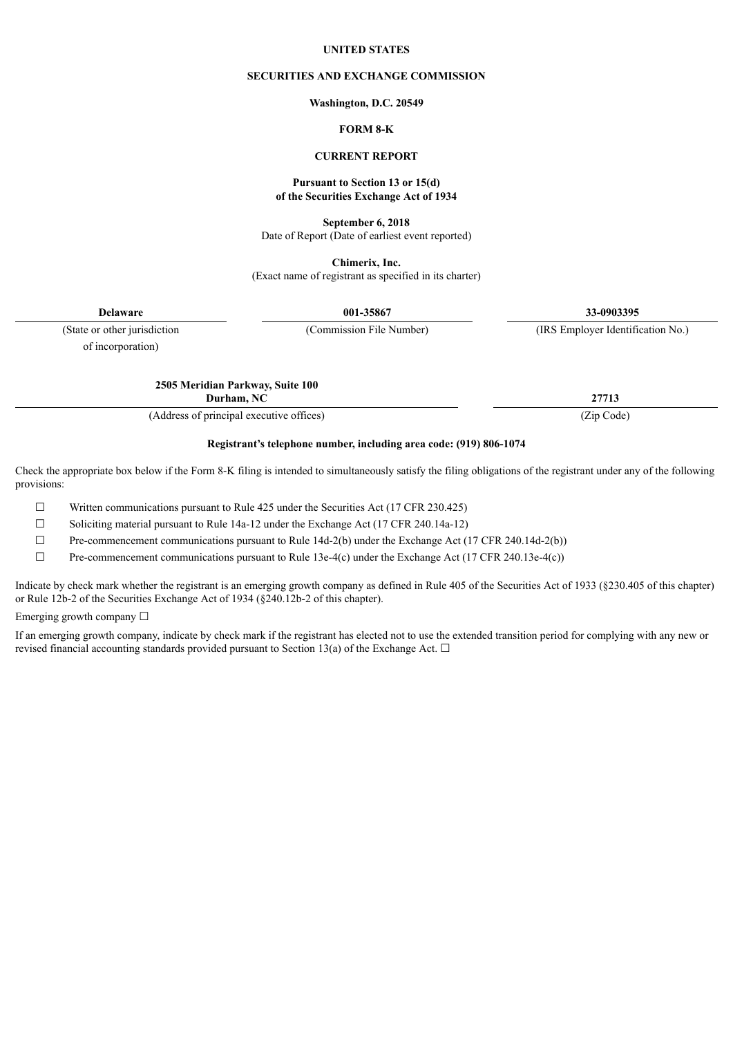### **UNITED STATES**

### **SECURITIES AND EXCHANGE COMMISSION**

#### **Washington, D.C. 20549**

## **FORM 8-K**

## **CURRENT REPORT**

#### **Pursuant to Section 13 or 15(d) of the Securities Exchange Act of 1934**

**September 6, 2018**

Date of Report (Date of earliest event reported)

**Chimerix, Inc.** (Exact name of registrant as specified in its charter)

**Delaware 001-35867 33-0903395**

of incorporation)

(State or other jurisdiction (Commission File Number) (IRS Employer Identification No.)

**2505 Meridian Parkway, Suite 100 Durham, NC 27713**

(Address of principal executive offices) (Zip Code)

#### **Registrant's telephone number, including area code: (919) 806-1074**

Check the appropriate box below if the Form 8-K filing is intended to simultaneously satisfy the filing obligations of the registrant under any of the following provisions:

 $\Box$  Written communications pursuant to Rule 425 under the Securities Act (17 CFR 230.425)

☐ Soliciting material pursuant to Rule 14a-12 under the Exchange Act (17 CFR 240.14a-12)

 $\Box$  Pre-commencement communications pursuant to Rule 14d-2(b) under the Exchange Act (17 CFR 240.14d-2(b))

 $\Box$  Pre-commencement communications pursuant to Rule 13e-4(c) under the Exchange Act (17 CFR 240.13e-4(c))

Indicate by check mark whether the registrant is an emerging growth company as defined in Rule 405 of the Securities Act of 1933 (§230.405 of this chapter) or Rule 12b-2 of the Securities Exchange Act of 1934 (§240.12b-2 of this chapter).

Emerging growth company  $\Box$ 

If an emerging growth company, indicate by check mark if the registrant has elected not to use the extended transition period for complying with any new or revised financial accounting standards provided pursuant to Section 13(a) of the Exchange Act.  $\Box$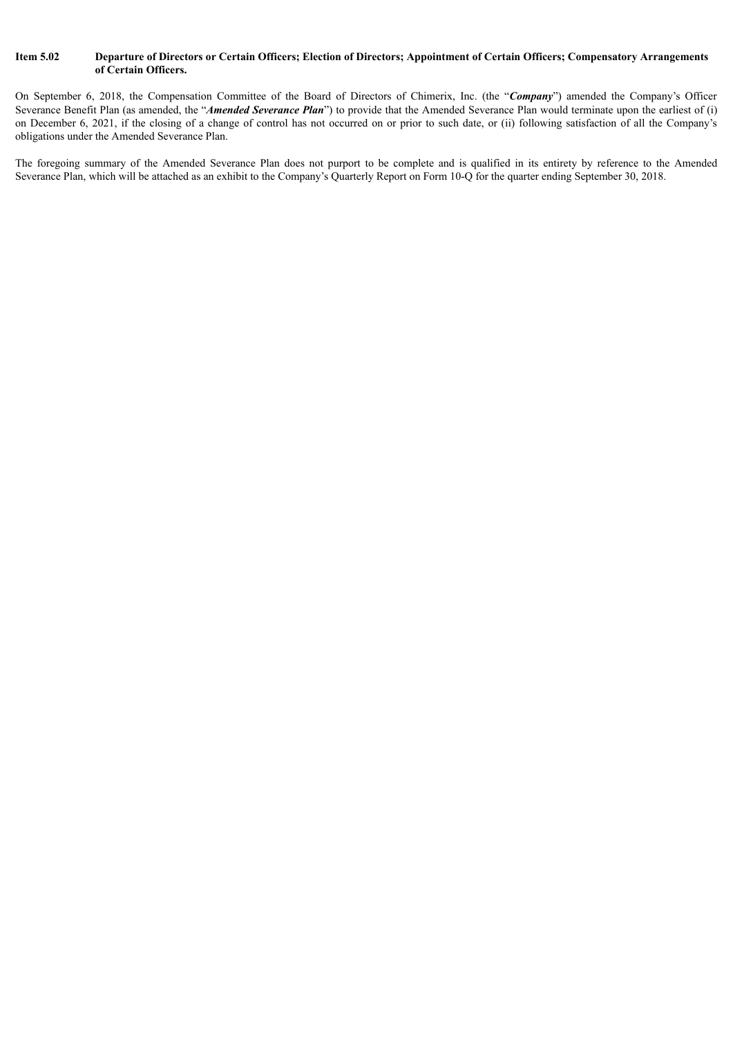### Item 5.02 Departure of Directors or Certain Officers; Election of Directors; Appointment of Certain Officers; Compensatory Arrangements **of Certain Officers.**

On September 6, 2018, the Compensation Committee of the Board of Directors of Chimerix, Inc. (the "*Company*") amended the Company's Officer Severance Benefit Plan (as amended, the "*Amended Severance Plan*") to provide that the Amended Severance Plan would terminate upon the earliest of (i) on December 6, 2021, if the closing of a change of control has not occurred on or prior to such date, or (ii) following satisfaction of all the Company's obligations under the Amended Severance Plan.

The foregoing summary of the Amended Severance Plan does not purport to be complete and is qualified in its entirety by reference to the Amended Severance Plan, which will be attached as an exhibit to the Company's Quarterly Report on Form 10-Q for the quarter ending September 30, 2018.